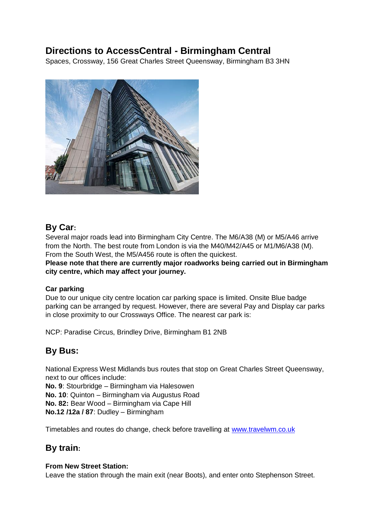# **Directions to AccessCentral - Birmingham Central**

Spaces, Crossway, 156 Great Charles Street Queensway, Birmingham B3 3HN



### **By Car:**

Several major roads lead into Birmingham City Centre. The M6/A38 (M) or M5/A46 arrive from the North. The best route from London is via the M40/M42/A45 or M1/M6/A38 (M). From the South West, the M5/A456 route is often the quickest.

**Please note that there are currently major roadworks being carried out in Birmingham city centre, which may affect your journey.**

### **Car parking**

Due to our unique city centre location car parking space is limited. Onsite Blue badge parking can be arranged by request. However, there are several Pay and Display car parks in close proximity to our Crossways Office. The nearest car park is:

NCP: Paradise Circus, Brindley Drive, Birmingham B1 2NB

## **By Bus:**

National Express West Midlands bus routes that stop on Great Charles Street Queensway, next to our offices include:

**No. 9**: Stourbridge – Birmingham via Halesowen **No. 10**: Quinton – Birmingham via Augustus Road

**No. 82:** Bear Wood – Birmingham via Cape Hill

**No.12 /12a / 87**: Dudley – Birmingham

Timetables and routes do change, check before travelling at [www.travelwm.co.uk](http://www.travelwm.co.uk/)

## **By train:**

### **From New Street Station:**

Leave the station through the main exit (near Boots), and enter onto Stephenson Street.